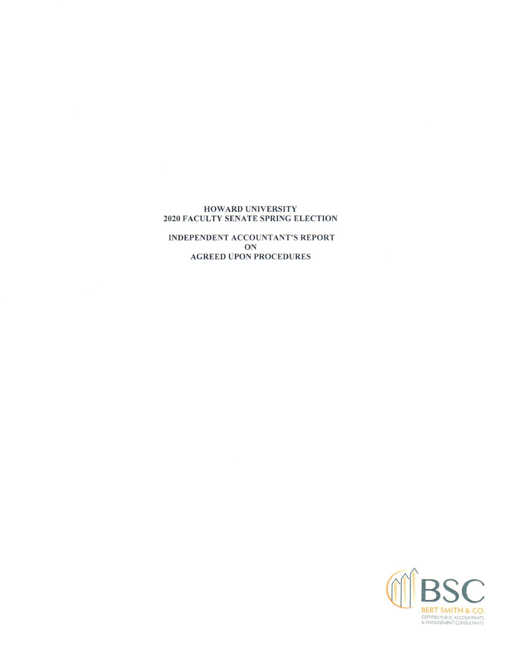#### HOWARD UNIVERSITY 2020 FACULTY SENATE SPRING ELECTION

**INDEPENDENT ACCOUNTANT'S REPORT** ON **AGREED UPON PROCEDURES** 

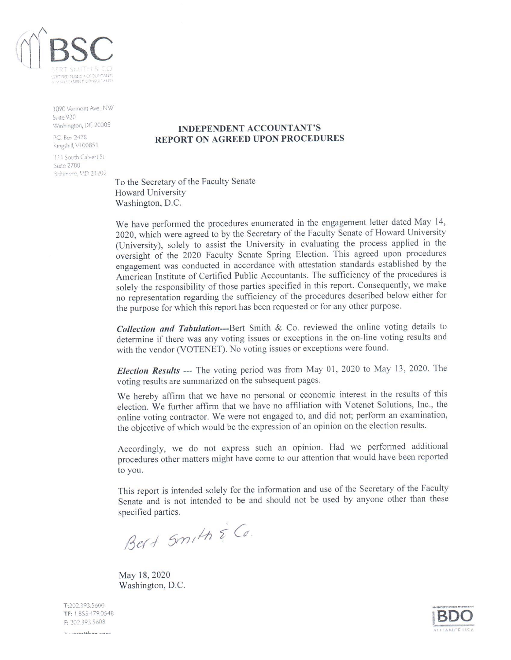

1090 Vermont Ave., NW Suite 920 Washington, DC 20005

P.O. Box 2478 Kingshill, VI 00851

111 South Calvert St. Suite 2700 Baltimore, MD 21202

## **INDEPENDENT ACCOUNTANT'S REPORT ON AGREED UPON PROCEDURES**

To the Secretary of the Faculty Senate Howard University Washington, D.C.

We have performed the procedures enumerated in the engagement letter dated May 14, 2020, which were agreed to by the Secretary of the Faculty Senate of Howard University (University), solely to assist the University in evaluating the process applied in the oversight of the 2020 Faculty Senate Spring Election. This agreed upon procedures engagement was conducted in accordance with attestation standards established by the American Institute of Certified Public Accountants. The sufficiency of the procedures is solely the responsibility of those parties specified in this report. Consequently, we make no representation regarding the sufficiency of the procedures described below either for the purpose for which this report has been requested or for any other purpose.

Collection and Tabulation---Bert Smith & Co. reviewed the online voting details to determine if there was any voting issues or exceptions in the on-line voting results and with the vendor (VOTENET). No voting issues or exceptions were found.

Election Results --- The voting period was from May 01, 2020 to May 13, 2020. The voting results are summarized on the subsequent pages.

We hereby affirm that we have no personal or economic interest in the results of this election. We further affirm that we have no affiliation with Votenet Solutions, Inc., the online voting contractor. We were not engaged to, and did not; perform an examination, the objective of which would be the expression of an opinion on the election results.

Accordingly, we do not express such an opinion. Had we performed additional procedures other matters might have come to our attention that would have been reported to you.

This report is intended solely for the information and use of the Secretary of the Faculty Senate and is not intended to be and should not be used by anyone other than these specified parties.

Bert Smith & Co.

May 18, 2020 Washington, D.C.



T:202.393.5600 TF: 1.855.479.0548 F: 202.393.5608

 $L_{\text{in}}$  and  $L_{\text{in}}$  and  $L_{\text{in}}$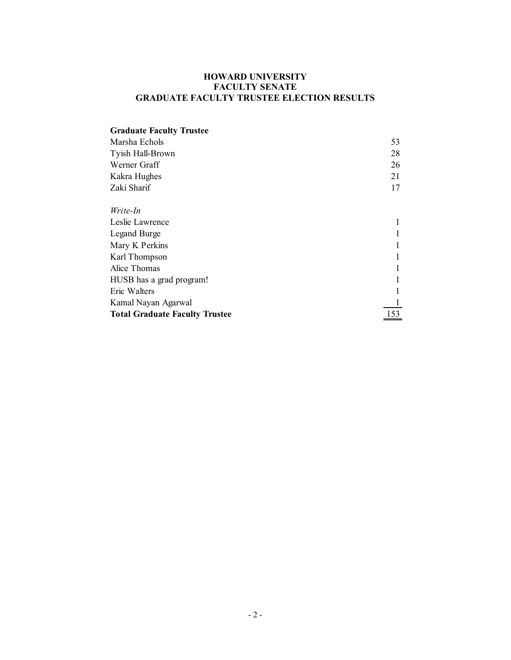# **HOWARD UNIVERSITY FACULTY SENATE GRADUATE FACULTY TRUSTEE ELECTION RESULTS**

| <b>Graduate Faculty Trustee</b>       |     |
|---------------------------------------|-----|
| Marsha Echols                         | 53  |
| Tyish Hall-Brown                      | 28  |
| Werner Graff                          | 26  |
| Kakra Hughes                          | 21  |
| Zaki Sharif                           | 17  |
|                                       |     |
| Write-In                              |     |
| Leslie Lawrence                       |     |
| Legand Burge                          |     |
| Mary K Perkins                        |     |
| Karl Thompson                         |     |
| Alice Thomas                          |     |
| HUSB has a grad program!              |     |
| Eric Walters                          |     |
| Kamal Nayan Agarwal                   |     |
| <b>Total Graduate Faculty Trustee</b> | 153 |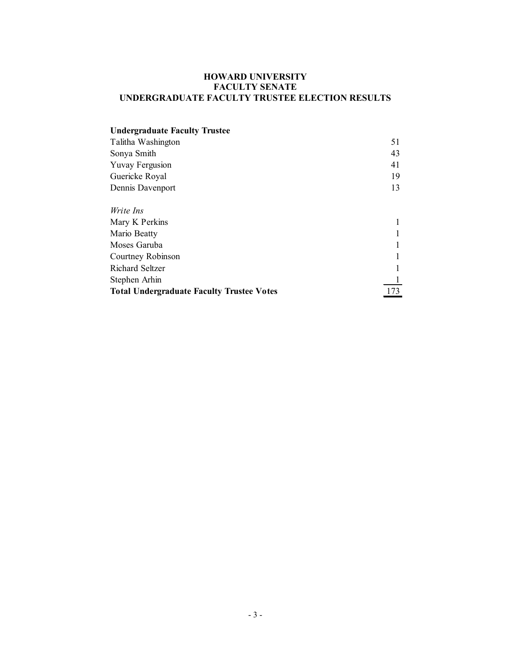## **HOWARD UNIVERSITY FACULTY SENATE UNDERGRADUATE FACULTY TRUSTEE ELECTION RESULTS**

| <b>Undergraduate Faculty Trustee</b>             |     |
|--------------------------------------------------|-----|
| Talitha Washington                               | 51  |
| Sonya Smith                                      | 43  |
| Yuvay Fergusion                                  | 41  |
| Guericke Royal                                   | 19  |
| Dennis Davenport                                 | 13  |
|                                                  |     |
| Write Ins                                        |     |
| Mary K Perkins                                   |     |
| Mario Beatty                                     |     |
| Moses Garuba                                     |     |
| Courtney Robinson                                |     |
| Richard Seltzer                                  |     |
| Stephen Arhin                                    |     |
| <b>Total Undergraduate Faculty Trustee Votes</b> | 173 |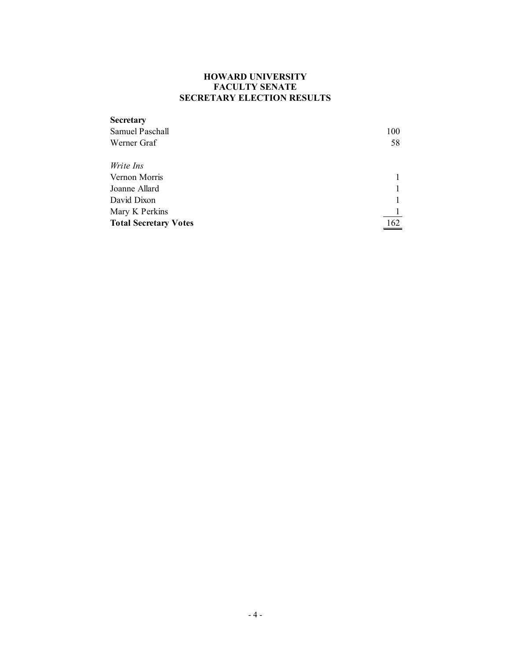## **HOWARD UNIVERSITY FACULTY SENATE SECRETARY ELECTION RESULTS**

| <b>Secretary</b>             |     |
|------------------------------|-----|
| Samuel Paschall              | 100 |
| Werner Graf                  | 58  |
|                              |     |
| <i>Write Ins</i>             |     |
| Vernon Morris                |     |
| Joanne Allard                |     |
| David Dixon                  |     |
| Mary K Perkins               |     |
| <b>Total Secretary Votes</b> | 162 |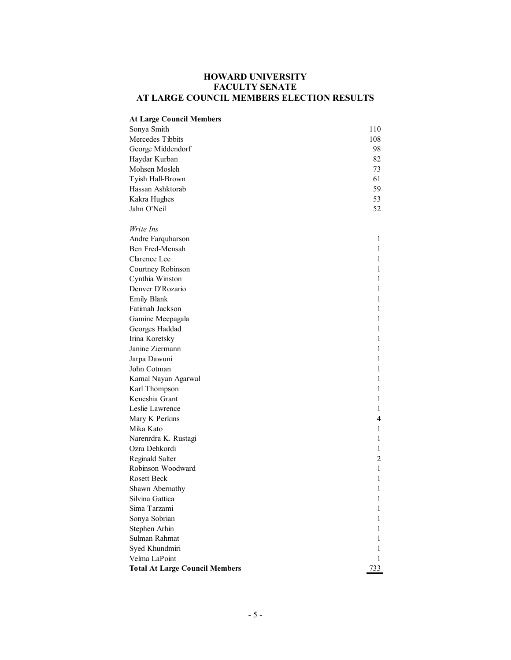## **HOWARD UNIVERSITY FACULTY SENATE AT LARGE COUNCIL MEMBERS ELECTION RESULTS**

## **At Large Council Members** Sonya Smith 110 Mercedes Tibbits 108 George Middendorf 98 Haydar Kurban 82 Mohsen Mosleh 73 Tyish Hall-Brown 61 Hassan Ashktorab 59 Kakra Hughes 53 Jahn O'Neil 52 *Write Ins* Andre Farquharson 1 Ben Fred-Mensah 1 Clarence Lee 1 Courtney Robinson 1 Cynthia Winston 1 Denver D'Rozario 1 Emily Blank 1 Fatimah Jackson 1 Gamine Meepagala 1 Georges Haddad 1 Irina Koretsky 1 Janine Ziermann 1 Jarpa Dawuni 1 John Cotman 1 Kamal Nayan Agarwal 1 Karl Thompson 1 Keneshia Grant 1 Leslie Lawrence 1 Mary K Perkins 4 Mika Kato 1 Narenrdra K. Rustagi 1 Ozra Dehkordi 1 Reginald Salter 2 Robinson Woodward 1 Rosett Beck 1 Shawn Abernathy 1 Silvina Gattica 1 Sima Tarzami 1 Sonya Sobrian 1 Stephen Arhin 1 Sulman Rahmat 1 Syed Khundmiri 1 Velma LaPoint 1 Total At Large Council Members 733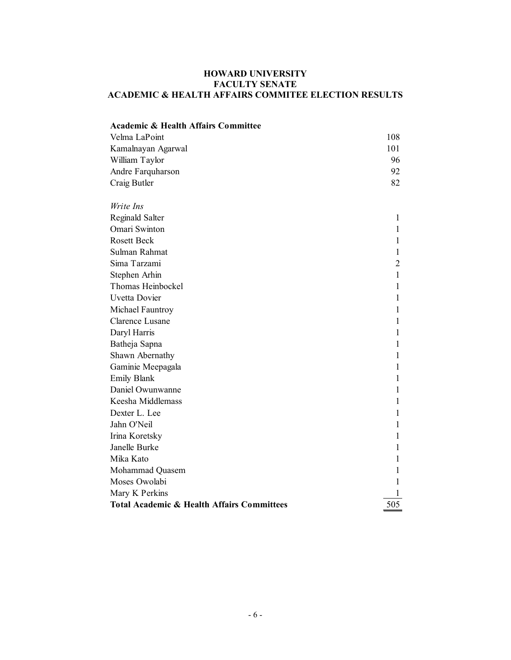# **HOWARD UNIVERSITY FACULTY SENATE ACADEMIC & HEALTH AFFAIRS COMMITEE ELECTION RESULTS**

| <b>Academic &amp; Health Affairs Committee</b>        |                |
|-------------------------------------------------------|----------------|
| Velma LaPoint                                         | 108            |
| Kamalnayan Agarwal                                    | 101            |
| William Taylor                                        | 96             |
| Andre Farquharson                                     | 92             |
| Craig Butler                                          | 82             |
|                                                       |                |
| Write Ins                                             |                |
| Reginald Salter                                       | $\mathbf{1}$   |
| Omari Swinton                                         | $\mathbf{1}$   |
| <b>Rosett Beck</b>                                    | 1              |
| Sulman Rahmat                                         | $\mathbf{1}$   |
| Sima Tarzami                                          | $\overline{c}$ |
| Stephen Arhin                                         | $\mathbf{1}$   |
| Thomas Heinbockel                                     | 1              |
| Uvetta Dovier                                         | $\mathbf{1}$   |
| Michael Fauntroy                                      | 1              |
| Clarence Lusane                                       | 1              |
| Daryl Harris                                          | $\mathbf{1}$   |
| Batheja Sapna                                         | $\mathbf{1}$   |
| Shawn Abernathy                                       | 1              |
| Gaminie Meepagala                                     | 1              |
| <b>Emily Blank</b>                                    | $\mathbf{1}$   |
| Daniel Owunwanne                                      | 1              |
| Keesha Middlemass                                     | 1              |
| Dexter L. Lee                                         | 1              |
| Jahn O'Neil                                           | 1              |
| Irina Koretsky                                        | 1              |
| Janelle Burke                                         | 1              |
| Mika Kato                                             | 1              |
| Mohammad Quasem                                       | 1              |
| Moses Owolabi                                         | 1              |
| Mary K Perkins                                        | 1              |
| <b>Total Academic &amp; Health Affairs Committees</b> | 505            |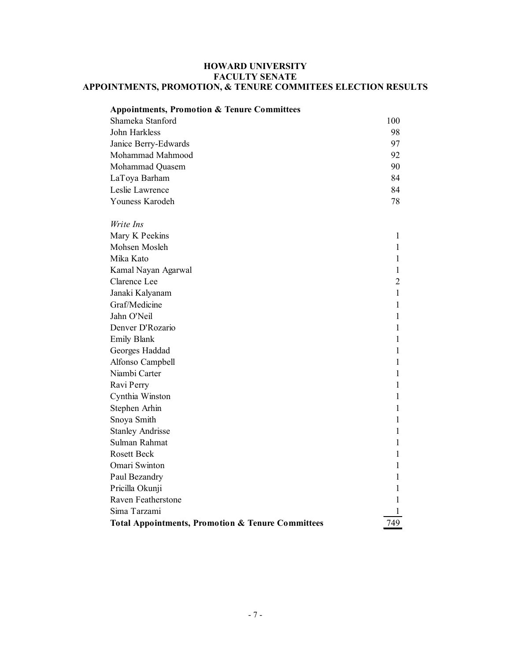## **HOWARD UNIVERSITY FACULTY SENATE APPOINTMENTS, PROMOTION, & TENURE COMMITEES ELECTION RESULTS**

| <b>Appointments, Promotion &amp; Tenure Committees</b>       |                |
|--------------------------------------------------------------|----------------|
| Shameka Stanford                                             | 100            |
| John Harkless                                                | 98             |
| Janice Berry-Edwards                                         | 97             |
| Mohammad Mahmood                                             | 92             |
| Mohammad Quasem                                              | 90             |
| LaToya Barham                                                | 84             |
| Leslie Lawrence                                              | 84             |
| Youness Karodeh                                              | 78             |
|                                                              |                |
| Write Ins                                                    |                |
| Mary K Peekins                                               | 1              |
| Mohsen Mosleh                                                | 1              |
| Mika Kato                                                    | 1              |
| Kamal Nayan Agarwal                                          | $\mathbf{1}$   |
| Clarence Lee                                                 | $\overline{2}$ |
| Janaki Kalyanam                                              | $\mathbf{1}$   |
| Graf/Medicine                                                | 1              |
| Jahn O'Neil                                                  | 1              |
| Denver D'Rozario                                             | 1              |
| Emily Blank                                                  | 1              |
| Georges Haddad                                               | 1              |
| Alfonso Campbell                                             | 1              |
| Niambi Carter                                                | $\mathbf{1}$   |
| Ravi Perry                                                   | $\mathbf{1}$   |
| Cynthia Winston                                              | $\mathbf{1}$   |
| Stephen Arhin                                                | $\mathbf{1}$   |
| Snoya Smith                                                  | 1              |
| <b>Stanley Andrisse</b>                                      | 1              |
| Sulman Rahmat                                                | 1              |
| <b>Rosett Beck</b>                                           | 1              |
| Omari Swinton                                                | 1              |
| Paul Bezandry                                                | 1              |
| Pricilla Okunji                                              | 1              |
| Raven Featherstone                                           | 1              |
| Sima Tarzami                                                 | 1              |
| <b>Total Appointments, Promotion &amp; Tenure Committees</b> | 749            |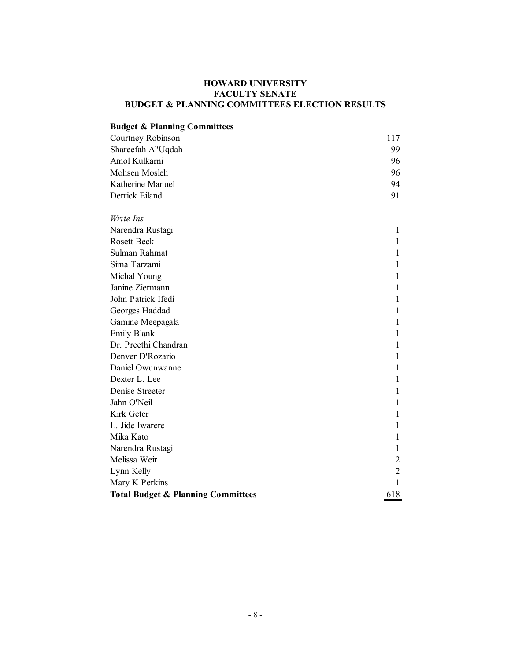## **HOWARD UNIVERSITY FACULTY SENATE BUDGET & PLANNING COMMITTEES ELECTION RESULTS**

# **Budget & Planning Committees** Courtney Robinson 117 Shareefah Al'Uqdah 99 Amol Kulkarni 96 Mohsen Mosleh 96 Katherine Manuel 94 Derrick Eiland 91 *Write Ins* Narendra Rustagi 1 Rosett Beck 1 Sulman Rahmat 1 Sima Tarzami 1 Michal Young 1 Janine Ziermann 1 John Patrick Ifedi 1 Georges Haddad 1 Gamine Meepagala 1 Emily Blank 1 Dr. Preethi Chandran 1 Denver D'Rozario 1 Daniel Owunwanne 1 Dexter L. Lee 1 Denise Streeter 1 Jahn O'Neil 1 Kirk Geter 1 L. Jide Iwarere 1 Mika Kato 1 Narendra Rustagi 1 Melissa Weir 2 Lynn Kelly 2 Mary K Perkins 1 **Total Budget & Planning Committees** 618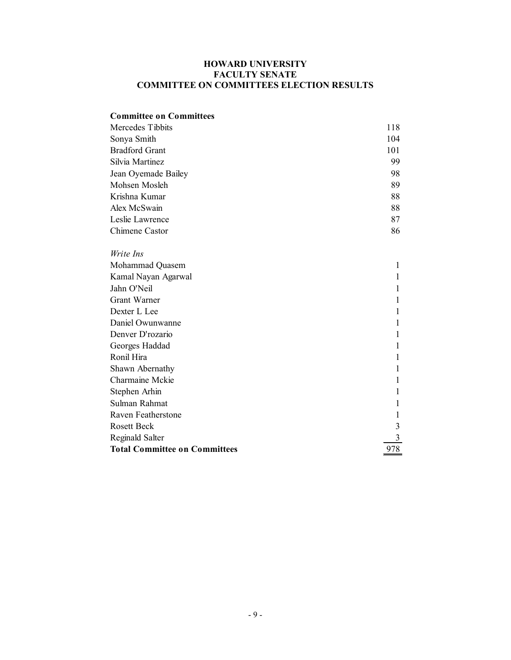# **HOWARD UNIVERSITY FACULTY SENATE COMMITTEE ON COMMITTEES ELECTION RESULTS**

| <b>Committee on Committees</b>       |     |
|--------------------------------------|-----|
| Mercedes Tibbits                     | 118 |
| Sonya Smith                          | 104 |
| <b>Bradford Grant</b>                | 101 |
| Silvia Martinez                      | 99  |
| Jean Oyemade Bailey                  | 98  |
| Mohsen Mosleh                        | 89  |
| Krishna Kumar                        | 88  |
| Alex McSwain                         | 88  |
| Leslie Lawrence                      | 87  |
| Chimene Castor                       | 86  |
|                                      |     |
| Write Ins                            |     |
| Mohammad Quasem                      | 1   |
| Kamal Nayan Agarwal                  | 1   |
| Jahn O'Neil                          | 1   |
| <b>Grant Warner</b>                  | 1   |
| Dexter L Lee                         | 1   |
| Daniel Owunwanne                     | 1   |
| Denver D'rozario                     | 1   |
| Georges Haddad                       | 1   |
| Ronil Hira                           | 1   |
| Shawn Abernathy                      | 1   |
| Charmaine Mckie                      | 1   |
| Stephen Arhin                        | 1   |
| Sulman Rahmat                        | 1   |
| Raven Featherstone                   | 1   |
| <b>Rosett Beck</b>                   | 3   |
| Reginald Salter                      | 3   |
| <b>Total Committee on Committees</b> | 978 |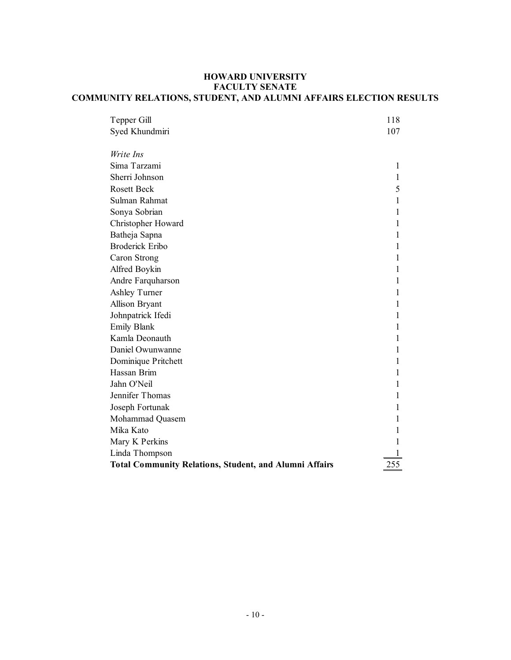# **HOWARD UNIVERSITY FACULTY SENATE COMMUNITY RELATIONS, STUDENT, AND ALUMNI AFFAIRS ELECTION RESULTS**

| Tepper Gill                                                   | 118 |
|---------------------------------------------------------------|-----|
| Syed Khundmiri                                                | 107 |
| Write Ins                                                     |     |
| Sima Tarzami                                                  | 1   |
| Sherri Johnson                                                | 1   |
| <b>Rosett Beck</b>                                            | 5   |
| Sulman Rahmat                                                 | 1   |
| Sonya Sobrian                                                 | 1   |
| Christopher Howard                                            | 1   |
| Batheja Sapna                                                 | 1   |
| <b>Broderick Eribo</b>                                        | 1   |
| Caron Strong                                                  | 1   |
| Alfred Boykin                                                 | 1   |
| Andre Farquharson                                             | 1   |
| Ashley Turner                                                 | 1   |
| Allison Bryant                                                | 1   |
| Johnpatrick Ifedi                                             | 1   |
| <b>Emily Blank</b>                                            | 1   |
| Kamla Deonauth                                                | 1   |
| Daniel Owunwanne                                              | 1   |
| Dominique Pritchett                                           | 1   |
| Hassan Brim                                                   | 1   |
| Jahn O'Neil                                                   | 1   |
| Jennifer Thomas                                               | 1   |
| Joseph Fortunak                                               | 1   |
| Mohammad Quasem                                               | 1   |
| Mika Kato                                                     | 1   |
| Mary K Perkins                                                | I   |
| Linda Thompson                                                | T   |
| <b>Total Community Relations, Student, and Alumni Affairs</b> | 255 |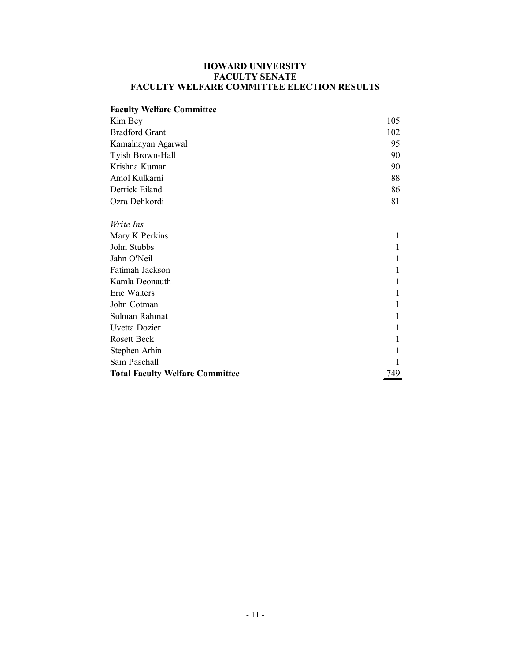### **HOWARD UNIVERSITY FACULTY SENATE FACULTY WELFARE COMMITTEE ELECTION RESULTS**

## **Faculty Welfare Committee**

| 105 |
|-----|
| 102 |
| 95  |
| 90  |
| 90  |
| 88  |
| 86  |
| 81  |
|     |

# *Write Ins* Mary K Perkins 1 John Stubbs 1 Jahn O'Neil 1 Fatimah Jackson 1 Kamla Deonauth 1 Eric Walters 1 John Cotman 1 Sulman Rahmat 1 Uvetta Dozier 1 Rosett Beck 1 Stephen Arhin 1 Sam Paschall 1 **Total Faculty Welfare Committee** 749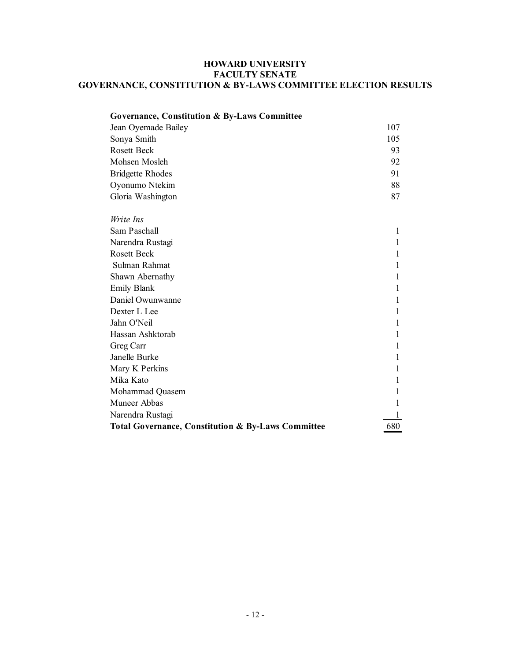# **HOWARD UNIVERSITY FACULTY SENATE GOVERNANCE, CONSTITUTION & BY-LAWS COMMITTEE ELECTION RESULTS**

| Governance, Constitution & By-Laws Committee                  |     |
|---------------------------------------------------------------|-----|
| Jean Oyemade Bailey                                           | 107 |
| Sonya Smith                                                   | 105 |
| <b>Rosett Beck</b>                                            | 93  |
| Mohsen Mosleh                                                 | 92  |
| <b>Bridgette Rhodes</b>                                       | 91  |
| Oyonumo Ntekim                                                | 88  |
| Gloria Washington                                             | 87  |
| Write Ins                                                     |     |
| Sam Paschall                                                  | 1   |
| Narendra Rustagi                                              | 1   |
| <b>Rosett Beck</b>                                            | 1   |
| Sulman Rahmat                                                 | 1   |
| Shawn Abernathy                                               | 1   |
| <b>Emily Blank</b>                                            | 1   |
| Daniel Owunwanne                                              | 1   |
| Dexter L Lee                                                  | 1   |
| Jahn O'Neil                                                   | 1   |
| Hassan Ashktorab                                              | 1   |
| Greg Carr                                                     | 1   |
| Janelle Burke                                                 | 1   |
| Mary K Perkins                                                | 1   |
| Mika Kato                                                     | 1   |
| Mohammad Quasem                                               | 1   |
| Muneer Abbas                                                  |     |
| Narendra Rustagi                                              | 1   |
| <b>Total Governance, Constitution &amp; By-Laws Committee</b> | 680 |